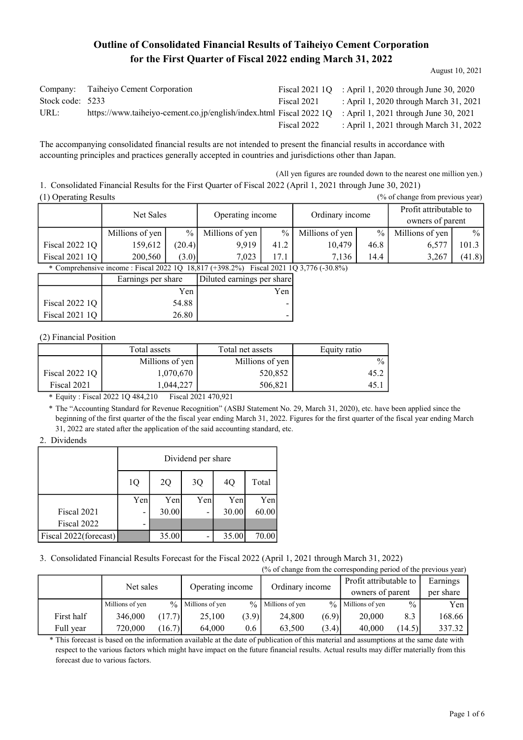# Outline of Consolidated Financial Results of Taiheiyo Cement Corporation for the First Quarter of Fiscal 2022 ending March 31, 2022

| Company:         | Taiheiyo Cement Corporation                                         |             | Fiscal 2021 $1Q$ : April 1, 2020 through June 30, 2020 |
|------------------|---------------------------------------------------------------------|-------------|--------------------------------------------------------|
| Stock code: 5233 |                                                                     | Fiscal 2021 | : April 1, 2020 through March 31, 2021                 |
| URL:             | https://www.taiheiyo-cement.co.jp/english/index.html Fiscal 2022 1Q |             | : April 1, 2021 through June 30, 2021                  |
|                  |                                                                     | Fiscal 2022 | : April 1, 2021 through March 31, 2022                 |

The accompanying consolidated financial results are not intended to present the financial results in accordance with accounting principles and practices generally accepted in countries and jurisdictions other than Japan.

(All yen figures are rounded down to the nearest one million yen.) 1. Consolidated Financial Results for the First Quarter of Fiscal 2022 (April 1, 2021 through June 30, 2021)

August 10, 2021

(1) Operating Results (% of change from previous year) Millions of yen  $\begin{array}{|c|c|c|c|c|c|} \hline \% & \text{Millions of yen} & \% & \text{Millions of yen} & \% \hline \end{array}$ 10,479 46.8 7,136 14.4  $\overline{\frac{9}{6}}$ 159,612 (20.4) 200,560 (3.0) Millions of yen Fiscal 2022 1Q Fiscal 2021 1Q 9,919 41.2 7,023 17.1  $\frac{0}{0}$ 101.3 (41.8) Millions of yen 6,577 3,267 Net Sales Operating income Ordinary income Profit attributable to owners of parent

\* Comprehensive income : Fiscal 2022 1Q 18,817 (+398.2%) Fiscal 2021 1Q 3,776 (-30.8%)

|                | Earnings per share | Diluted earnings per share |
|----------------|--------------------|----------------------------|
|                | Yen                | Yen                        |
| Fiscal 2022 1Q | 54.88              |                            |
| Fiscal 2021 1Q | 26.80              |                            |

(2) Financial Position

|                | Total assets    | Total net assets | Equity ratio  |
|----------------|-----------------|------------------|---------------|
|                | Millions of yen | Millions of yen  | $\frac{0}{0}$ |
| Fiscal 2022 1Q | 1,070,670       | 520,852          | 45.2          |
| Fiscal 2021    | ,044,227        | 506.821          |               |

\* Equity : Fiscal 2022 1Q 484,210 Fiscal 2021 470,921

\* The "Accounting Standard for Revenue Recognition" (ASBJ Statement No. 29, March 31, 2020), etc. have been applied since the beginning of the first quarter of the the fiscal year ending March 31, 2022. Figures for the first quarter of the fiscal year ending March 31, 2022 are stated after the application of the said accounting standard, etc.

#### 2. Dividends

|                       | Dividend per share<br>3Q<br>Total<br>1Q<br>2Q<br>4Q |       |                |       |       |  |  |
|-----------------------|-----------------------------------------------------|-------|----------------|-------|-------|--|--|
|                       |                                                     |       |                |       |       |  |  |
|                       | Yen                                                 | Yen   | Yen            | Yen   | Yen   |  |  |
| Fiscal 2021           | $\overline{\phantom{0}}$                            | 30.00 | $\blacksquare$ | 30.00 | 60.00 |  |  |
| Fiscal 2022           |                                                     |       |                |       |       |  |  |
| Fiscal 2022(forecast) |                                                     | 35.00 |                | 35.00 | 70.00 |  |  |

3. Consolidated Financial Results Forecast for the Fiscal 2022 (April 1, 2021 through March 31, 2022)

(% of change from the corresponding period of the previous year)

|            | Net sales       |        | Operating income     |       | Ordinary income      |       | Profit attributable to<br>owners of parent |               | Earnings<br>per share |
|------------|-----------------|--------|----------------------|-------|----------------------|-------|--------------------------------------------|---------------|-----------------------|
|            | Millions of yen |        | $\%$ Millions of yen |       | $\%$ Millions of yen |       | $\%$ Millions of yen                       | $\frac{0}{0}$ | Yen                   |
| First half | 346,000         | (17.7) | 25.100               | (3.9) | 24,800               | (6.9) | 20,000                                     | 8.3           | 168.66                |
| Full vear  | 720,000         | (16.7) | 64,000               | 0.6   | 63,500               | (3.4) | 40,000                                     | (14.5)        | 337.32                |

This forecast is based on the information available at the date of publication of this material and assumptions at the same date with \* respect to the various factors which might have impact on the future financial results. Actual results may differ materially from this forecast due to various factors.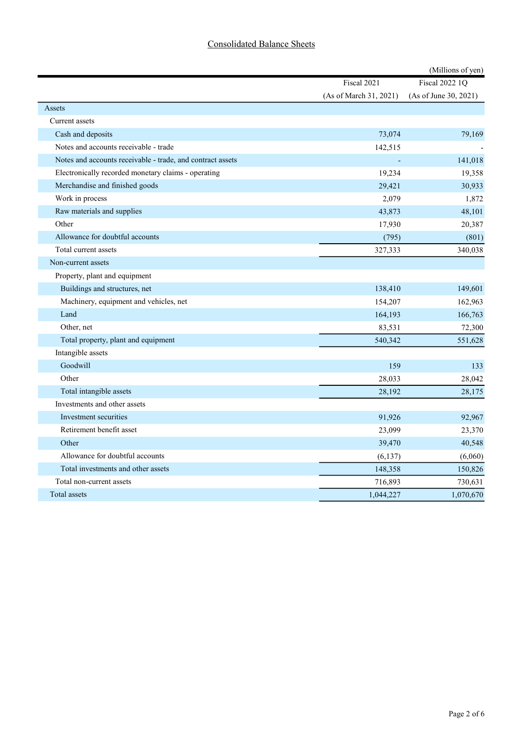## Consolidated Balance Sheets

|                                                            |                        | (Millions of yen)     |
|------------------------------------------------------------|------------------------|-----------------------|
|                                                            | Fiscal 2021            | <b>Fiscal 2022 1Q</b> |
|                                                            | (As of March 31, 2021) | (As of June 30, 2021) |
| Assets                                                     |                        |                       |
| Current assets                                             |                        |                       |
| Cash and deposits                                          | 73,074                 | 79,169                |
| Notes and accounts receivable - trade                      | 142,515                |                       |
| Notes and accounts receivable - trade, and contract assets | $\sim$                 | 141,018               |
| Electronically recorded monetary claims - operating        | 19,234                 | 19,358                |
| Merchandise and finished goods                             | 29,421                 | 30,933                |
| Work in process                                            | 2,079                  | 1,872                 |
| Raw materials and supplies                                 | 43,873                 | 48,101                |
| Other                                                      | 17,930                 | 20,387                |
| Allowance for doubtful accounts                            | (795)                  | (801)                 |
| Total current assets                                       | 327,333                | 340,038               |
| Non-current assets                                         |                        |                       |
| Property, plant and equipment                              |                        |                       |
| Buildings and structures, net                              | 138,410                | 149,601               |
| Machinery, equipment and vehicles, net                     | 154,207                | 162,963               |
| Land                                                       | 164,193                | 166,763               |
| Other, net                                                 | 83,531                 | 72,300                |
| Total property, plant and equipment                        | 540,342                | 551,628               |
| Intangible assets                                          |                        |                       |
| Goodwill                                                   | 159                    | 133                   |
| Other                                                      | 28,033                 | 28,042                |
| Total intangible assets                                    | 28,192                 | 28,175                |
| Investments and other assets                               |                        |                       |
| Investment securities                                      | 91,926                 | 92,967                |
| Retirement benefit asset                                   | 23,099                 | 23,370                |
| Other                                                      | 39,470                 | 40,548                |
| Allowance for doubtful accounts                            | (6, 137)               | (6,060)               |
| Total investments and other assets                         | 148,358                | 150,826               |
| Total non-current assets                                   | 716,893                | 730,631               |
| Total assets                                               | 1,044,227              | 1,070,670             |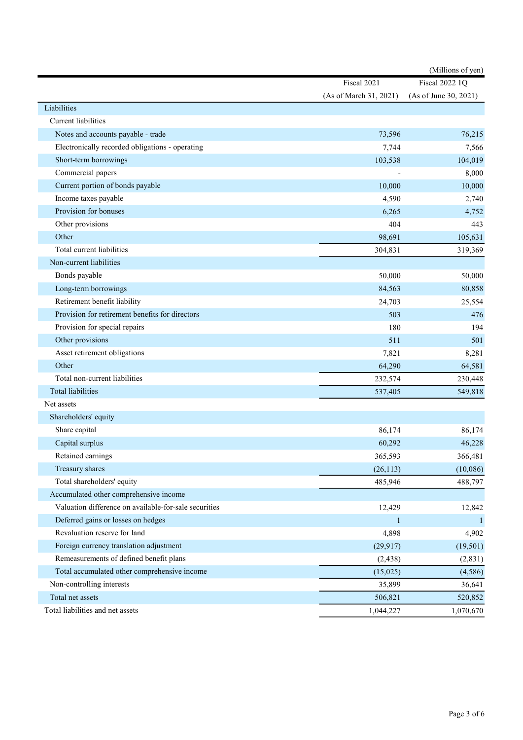|                                                       | (Millions of yen)      |                       |  |
|-------------------------------------------------------|------------------------|-----------------------|--|
|                                                       | Fiscal 2021            | <b>Fiscal 2022 1Q</b> |  |
|                                                       | (As of March 31, 2021) | (As of June 30, 2021) |  |
| Liabilities                                           |                        |                       |  |
| <b>Current</b> liabilities                            |                        |                       |  |
| Notes and accounts payable - trade                    | 73,596                 | 76,215                |  |
| Electronically recorded obligations - operating       | 7,744                  | 7,566                 |  |
| Short-term borrowings                                 | 103,538                | 104,019               |  |
| Commercial papers                                     |                        | 8,000                 |  |
| Current portion of bonds payable                      | 10,000                 | 10,000                |  |
| Income taxes payable                                  | 4,590                  | 2,740                 |  |
| Provision for bonuses                                 | 6,265                  | 4,752                 |  |
| Other provisions                                      | 404                    | 443                   |  |
| Other                                                 | 98,691                 | 105,631               |  |
| Total current liabilities                             | 304,831                | 319,369               |  |
| Non-current liabilities                               |                        |                       |  |
| Bonds payable                                         | 50,000                 | 50,000                |  |
| Long-term borrowings                                  | 84,563                 | 80,858                |  |
| Retirement benefit liability                          | 24,703                 | 25,554                |  |
| Provision for retirement benefits for directors       | 503                    | 476                   |  |
| Provision for special repairs                         | 180                    | 194                   |  |
| Other provisions                                      | 511                    | 501                   |  |
| Asset retirement obligations                          | 7,821                  | 8,281                 |  |
| Other                                                 | 64,290                 | 64,581                |  |
| Total non-current liabilities                         | 232,574                | 230,448               |  |
| <b>Total liabilities</b>                              | 537,405                | 549,818               |  |
| Net assets                                            |                        |                       |  |
| Shareholders' equity                                  |                        |                       |  |
| Share capital                                         | 86,174                 | 86,174                |  |
| Capital surplus                                       | 60,292                 | 46,228                |  |
| Retained earnings                                     | 365,593                | 366,481               |  |
| Treasury shares                                       | (26, 113)              | (10,086)              |  |
| Total shareholders' equity                            | 485,946                | 488,797               |  |
| Accumulated other comprehensive income                |                        |                       |  |
| Valuation difference on available-for-sale securities | 12,429                 | 12,842                |  |
| Deferred gains or losses on hedges                    | $\mathbf{1}$           | $\vert$               |  |
| Revaluation reserve for land                          | 4,898                  | 4,902                 |  |
| Foreign currency translation adjustment               | (29, 917)              | (19, 501)             |  |
| Remeasurements of defined benefit plans               | (2, 438)               | (2,831)               |  |
| Total accumulated other comprehensive income          | (15,025)               | (4,586)               |  |
| Non-controlling interests                             | 35,899                 | 36,641                |  |
| Total net assets                                      | 506,821                | 520,852               |  |
| Total liabilities and net assets                      | 1,044,227              | 1,070,670             |  |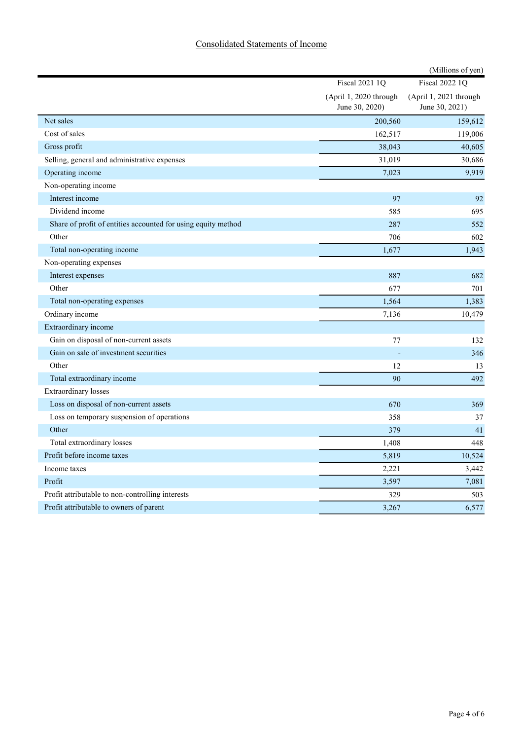## Consolidated Statements of Income

|                                                               |                                          | (Millions of yen)                        |
|---------------------------------------------------------------|------------------------------------------|------------------------------------------|
|                                                               | <b>Fiscal 2021 1Q</b>                    | <b>Fiscal 2022 1Q</b>                    |
|                                                               | (April 1, 2020 through<br>June 30, 2020) | (April 1, 2021 through<br>June 30, 2021) |
| Net sales                                                     | 200,560                                  | 159,612                                  |
| Cost of sales                                                 | 162,517                                  | 119,006                                  |
| Gross profit                                                  | 38,043                                   | 40,605                                   |
| Selling, general and administrative expenses                  | 31,019                                   | 30,686                                   |
| Operating income                                              | 7,023                                    | 9,919                                    |
| Non-operating income                                          |                                          |                                          |
| Interest income                                               | 97                                       | 92                                       |
| Dividend income                                               | 585                                      | 695                                      |
| Share of profit of entities accounted for using equity method | 287                                      | 552                                      |
| Other                                                         | 706                                      | 602                                      |
| Total non-operating income                                    | 1,677                                    | 1,943                                    |
| Non-operating expenses                                        |                                          |                                          |
| Interest expenses                                             | 887                                      | 682                                      |
| Other                                                         | 677                                      | 701                                      |
| Total non-operating expenses                                  | 1,564                                    | 1,383                                    |
| Ordinary income                                               | 7,136                                    | 10,479                                   |
| Extraordinary income                                          |                                          |                                          |
| Gain on disposal of non-current assets                        | 77                                       | 132                                      |
| Gain on sale of investment securities                         |                                          | 346                                      |
| Other                                                         | 12                                       | 13                                       |
| Total extraordinary income                                    | 90                                       | 492                                      |
| <b>Extraordinary losses</b>                                   |                                          |                                          |
| Loss on disposal of non-current assets                        | 670                                      | 369                                      |
| Loss on temporary suspension of operations                    | 358                                      | 37                                       |
| Other                                                         | 379                                      | 41                                       |
| Total extraordinary losses                                    | 1,408                                    | 448                                      |
| Profit before income taxes                                    | 5,819                                    | 10,524                                   |
| Income taxes                                                  | 2,221                                    | 3,442                                    |
| Profit                                                        | 3,597                                    | 7,081                                    |
| Profit attributable to non-controlling interests              | 329                                      | 503                                      |
| Profit attributable to owners of parent                       | 3,267                                    | 6,577                                    |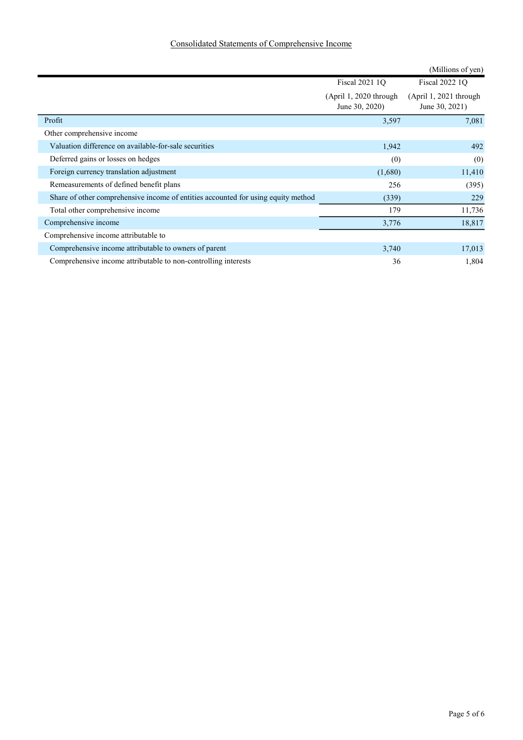## Consolidated Statements of Comprehensive Income

|                                                                                   |                                            | (Millions of yen)                          |
|-----------------------------------------------------------------------------------|--------------------------------------------|--------------------------------------------|
|                                                                                   | <b>Fiscal 2021 10</b>                      | Fiscal 2022 1O                             |
|                                                                                   | $(April 1, 2020$ through<br>June 30, 2020) | $(April 1, 2021$ through<br>June 30, 2021) |
| Profit                                                                            | 3,597                                      | 7,081                                      |
| Other comprehensive income                                                        |                                            |                                            |
| Valuation difference on available-for-sale securities                             | 1,942                                      | 492                                        |
| Deferred gains or losses on hedges                                                | (0)                                        | (0)                                        |
| Foreign currency translation adjustment                                           | (1,680)                                    | 11,410                                     |
| Remeasurements of defined benefit plans                                           | 256                                        | (395)                                      |
| Share of other comprehensive income of entities accounted for using equity method | (339)                                      | 229                                        |
| Total other comprehensive income                                                  | 179                                        | 11,736                                     |
| Comprehensive income                                                              | 3,776                                      | 18,817                                     |
| Comprehensive income attributable to                                              |                                            |                                            |
| Comprehensive income attributable to owners of parent                             | 3,740                                      | 17,013                                     |
| Comprehensive income attributable to non-controlling interests                    | 36                                         | 1,804                                      |